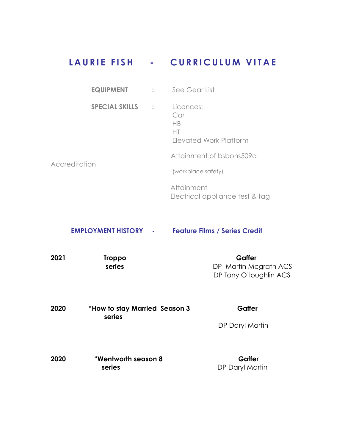## **LAURIE FISH - CURRICULUM VITAE**

|               | <b>EQUIPMENT</b>      | $\ddot{\phantom{a}}$ | See Gear List                                          |
|---------------|-----------------------|----------------------|--------------------------------------------------------|
|               | <b>SPECIAL SKILLS</b> | $\sim$ 10            | Licences:<br>Car<br>HB<br>HT<br>Elevated Work Platform |
|               |                       |                      | Attainment of bsbohs509a                               |
| Accreditation |                       |                      | (workplace safety)                                     |
|               |                       |                      | Attainment<br>Electrical appliance test & tag          |

## **EMPLOYMENT HISTORY - Feature Films / Series Credit**

| 2021 | Troppo | Gaffer                 |
|------|--------|------------------------|
|      | series | DP Martin Mcgrath ACS  |
|      |        | DP Tony O'loughlin ACS |

| 2020 | "How to stay Married Season 3 | Gaffer          |
|------|-------------------------------|-----------------|
|      | series                        |                 |
|      |                               | DP Daryl Martin |

| 2020 | <b>"Wentworth season 8</b> | Gaffer          |
|------|----------------------------|-----------------|
|      | series                     | DP Daryl Martin |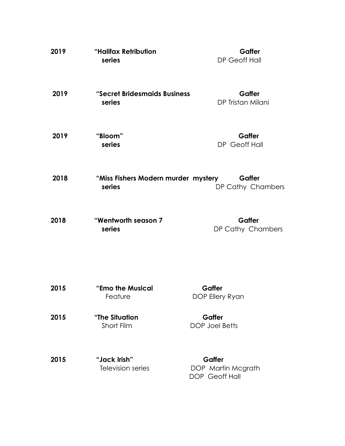| 2019 | "Halifax Retribution<br>series                | Gaffer<br>DP Geoff Hall                        |
|------|-----------------------------------------------|------------------------------------------------|
| 2019 | "Secret Bridesmaids Business<br>series        | Gaffer<br>DP Tristan Milani                    |
| 2019 | "Bloom"<br>series                             | Gaffer<br>DP Geoff Hall                        |
| 2018 | "Miss Fishers Modern murder mystery<br>series | Gaffer<br>DP Cathy Chambers                    |
| 2018 | "Wentworth season 7<br>series                 | Gaffer<br>DP Cathy Chambers                    |
| 2015 | "Emo the Musical<br>Feature                   | Gaffer<br>DOP Ellery Ryan                      |
| 2015 | "The Situation<br>Short Film                  | Gaffer<br><b>DOP Joel Betts</b>                |
| 2015 | "Jack Irish"<br>Television series             | Gaffer<br>DOP Martin Mcgrath<br>DOP Geoff Hall |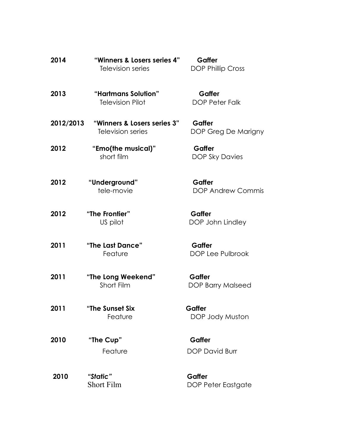| 2014      | "Winners & Losers series 4"<br>Television series | Gaffer<br><b>DOP Phillip Cross</b> |
|-----------|--------------------------------------------------|------------------------------------|
| 2013      | "Hartmans Solution"<br><b>Television Pilot</b>   | Gaffer<br><b>DOP Peter Falk</b>    |
| 2012/2013 | "Winners & Losers series 3"<br>Television series | Gaffer<br>DOP Greg De Marigny      |
| 2012      | "Emo(the musical)"<br>short film                 | Gaffer<br><b>DOP Sky Davies</b>    |
| 2012      | "Underground"<br>tele-movie                      | Gaffer<br><b>DOP Andrew Commis</b> |
| 2012      | "The Frontier"<br>US pilot                       | Gaffer<br>DOP John Lindley         |
| 2011      | "The Last Dance"<br>Feature                      | Gaffer<br><b>DOP Lee Pulbrook</b>  |
| 2011      | "The Long Weekend"<br>Short Film                 | Gaffer<br><b>DOP Barry Malseed</b> |
| 2011      | "The Sunset Six<br>Feature                       | Gaffer<br>DOP Jody Muston          |
| 2010      | "The Cup"<br>Feature                             | Gaffer<br><b>DOP David Burr</b>    |
| 2010      | "Static"<br><b>Short Film</b>                    | Gaffer<br>DOP Peter Eastgate       |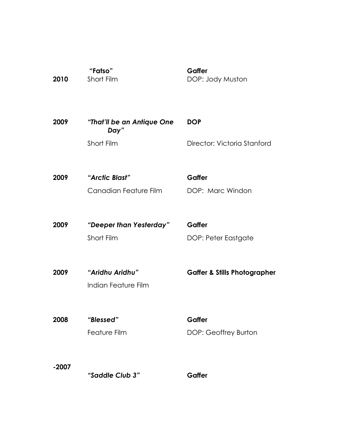| Short Film                         | DOP: Jody Muston                        |
|------------------------------------|-----------------------------------------|
| "That'll be an Antique One<br>Day" | <b>DOP</b>                              |
| Short Film                         | Director: Victoria Stanford             |
| "Arctic Blast"                     | Gaffer                                  |
| Canadian Feature Film              | DOP: Marc Windon                        |
| "Deeper than Yesterday"            | Gaffer                                  |
| Short Film                         | DOP: Peter Eastgate                     |
| "Aridhu Aridhu"                    | <b>Gaffer &amp; Stills Photographer</b> |
|                                    |                                         |
| "Blessed"                          | Gaffer                                  |
| <b>Feature Film</b>                | DOP: Geoffrey Burton                    |
|                                    |                                         |
|                                    | Gaffer                                  |
|                                    | Indian Feature Film<br>"Saddle Club 3"  |

**Gaffer**

 **"Fatso"** Short Film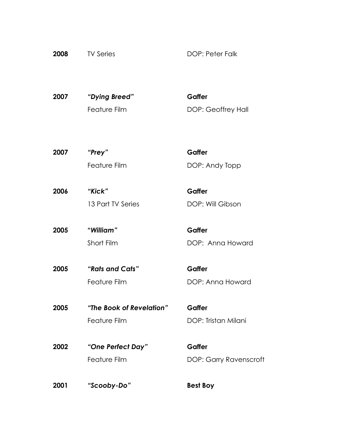| 2008 | <b>TV Series</b> | <b>DOP: Peter Falk</b> |
|------|------------------|------------------------|
|      |                  |                        |

**2007** *"Dying Breed"* **Gaffer** Feature Film DOP: Geoffrey Hall

**2007** *"Prey"* **Gaffer** Feature Film DOP: Andy Topp

**2006** *"Kick"* **Gaffer** 13 Part TV Series DOP: Will Gibson

**2005 "***William"* **Gaffer** Short Film DOP: Anna Howard

**2005** *"Rats and Cats"* **Gaffer** Feature Film DOP: Anna Howard

**2005** *"The Book of Revelation"* **Gaffer** Feature Film **DOP: Tristan Milani** 

**2002** *"One Perfect Day"* **Gaffer**

Feature Film DOP: Garry Ravenscroft

**2001** *"Scooby-Do"* **Best Boy**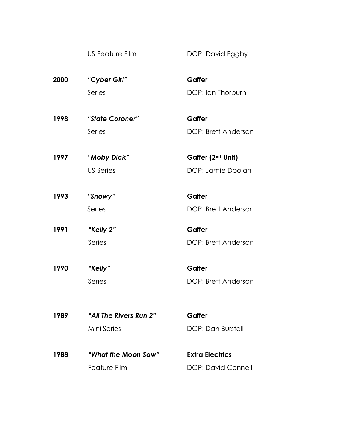US Feature Film DOP: David Eggby

**2000** *"Cyber Girl"* **Gaffer** Series DOP: Ian Thorburn

- **1998** *"State Coroner"* **Gaffer** Series DOP: Brett Anderson
- **1997** *"Moby Dick"* **Gaffer (2nd Unit)** US Series DOP: Jamie Doolan
- **1993** *"Snowy"* **Gaffer** Series DOP: Brett Anderson
- **1991** *"Kelly 2"* **Gaffer** Series DOP: Brett Anderson
- **1990** *"Kelly"* **Gaffer** Series DOP: Brett Anderson
- **1989** *"All The Rivers Run 2"* **Gaffer** Mini Series DOP: Dan Burstall
	-
- **1988** *"What the Moon Saw"* **Extra Electrics** Feature Film **DOP: David Connell**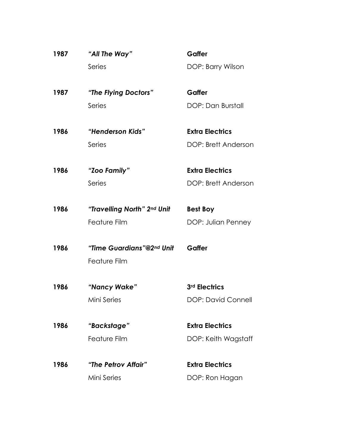| 1987 | "All The Way"               | Gaffer                 |
|------|-----------------------------|------------------------|
|      | Series                      | DOP: Barry Wilson      |
|      |                             |                        |
| 1987 | "The Flying Doctors"        | Gaffer                 |
|      | Series                      | DOP: Dan Burstall      |
| 1986 | "Henderson Kids"            | <b>Extra Electrics</b> |
|      | Series                      | DOP: Brett Anderson    |
| 1986 | "Zoo Family"                | <b>Extra Electrics</b> |
|      | Series                      | DOP: Brett Anderson    |
| 1986 | "Travelling North" 2nd Unit | <b>Best Boy</b>        |
|      | Feature Film                | DOP: Julian Penney     |
|      |                             |                        |
| 1986 | "Time Guardians"@2nd Unit   | Gaffer                 |
|      | Feature Film                |                        |
| 1986 | "Nancy Wake"                | 3rd Electrics          |
|      | Mini Series                 | DOP: David Connell     |
| 1986 | "Backstage"                 | <b>Extra Electrics</b> |
|      | <b>Feature Film</b>         | DOP: Keith Wagstaff    |
| 1986 | "The Petrov Affair"         | <b>Extra Electrics</b> |
|      | Mini Series                 | DOP: Ron Hagan         |
|      |                             |                        |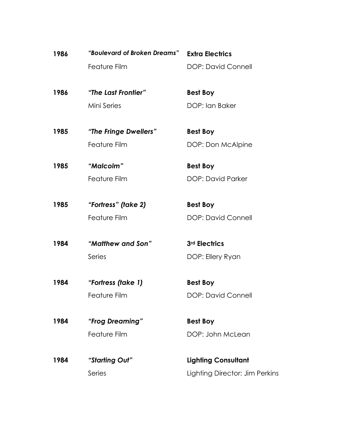| 1986 | "Boulevard of Broken Dreams" | <b>Extra Electrics</b>         |
|------|------------------------------|--------------------------------|
|      | Feature Film                 | <b>DOP: David Connell</b>      |
| 1986 | "The Last Frontier"          | <b>Best Boy</b>                |
|      | Mini Series                  | DOP: Ian Baker                 |
| 1985 | "The Fringe Dwellers"        | <b>Best Boy</b>                |
|      | Feature Film                 | DOP: Don McAlpine              |
| 1985 | "Malcolm"                    | <b>Best Boy</b>                |
|      | Feature Film                 | <b>DOP: David Parker</b>       |
| 1985 | "Fortress" (take 2)          | <b>Best Boy</b>                |
|      | <b>Feature Film</b>          | <b>DOP: David Connell</b>      |
| 1984 | "Matthew and Son"            | 3rd Electrics                  |
|      | Series                       | DOP: Ellery Ryan               |
| 1984 | "Fortress (take 1)           | <b>Best Boy</b>                |
|      | Feature Film                 | <b>DOP: David Connell</b>      |
| 1984 | "Frog Dreaming"              | <b>Best Boy</b>                |
|      | <b>Feature Film</b>          | DOP: John McLean               |
| 1984 | "Starting Out"               | <b>Lighting Consultant</b>     |
|      | Series                       | Lighting Director: Jim Perkins |